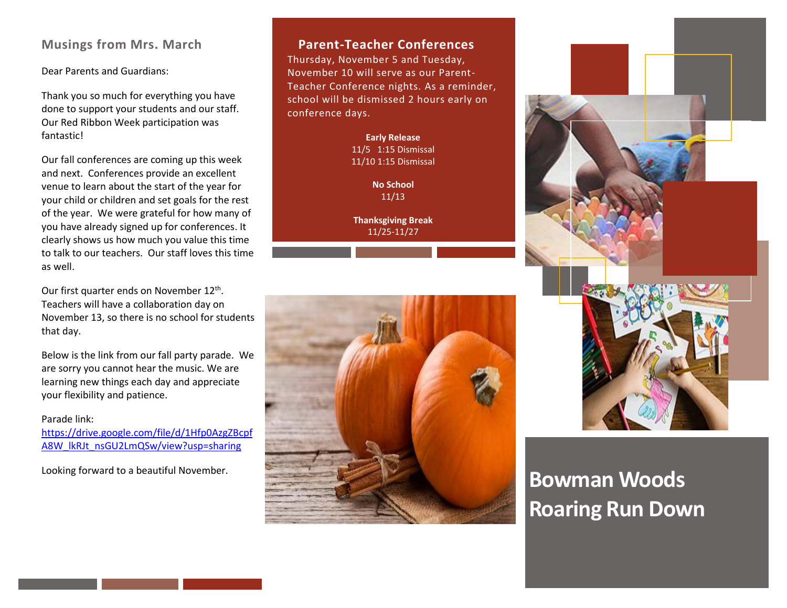# **Musings from Mrs. March**

Dear Parents and Guardians:

Thank you so much for everything you have done to support your students and our staff. Our Red Ribbon Week participation was fantastic!

Our fall conferences are coming up this week and next. Conferences provide an excellent venue to learn about the start of the year for your child or children and set goals for the rest of the year. We were grateful for how many of you have already signed up for conferences. It clearly shows us how much you value this time to talk to our teachers. Our staff loves this time as well.

Our first quarter ends on November 12<sup>th</sup>. Teachers will have a collaboration day on November 13, so there is no school for students that day.

Below is the link from our fall party parade. We are sorry you cannot hear the music. We are learning new things each day and appreciate your flexibility and patience.

#### Parade link:

[https://drive.google.com/file/d/1Hfp0AzgZBcpf](https://drive.google.com/file/d/1Hfp0AzgZBcpfA8W_lkRJt_nsGU2LmQSw/view?usp=sharing) [A8W\\_lkRJt\\_nsGU2LmQSw/view?usp=sharing](https://drive.google.com/file/d/1Hfp0AzgZBcpfA8W_lkRJt_nsGU2LmQSw/view?usp=sharing)

Looking forward to a beautiful November.

### **Parent-Teacher Conferences**

Thursday, November 5 and Tuesday, November 10 will serve as our Parent-Teacher Conference nights. As a reminder, school will be dismissed 2 hours early on conference days.

> **Early Release** 11/5 1:15 Dismissal 11/10 1:15 Dismissal

> > **No School** 11/13

**Thanksgiving Break** 11/25-11/27





# **Bowman Woods Roaring Run Down**